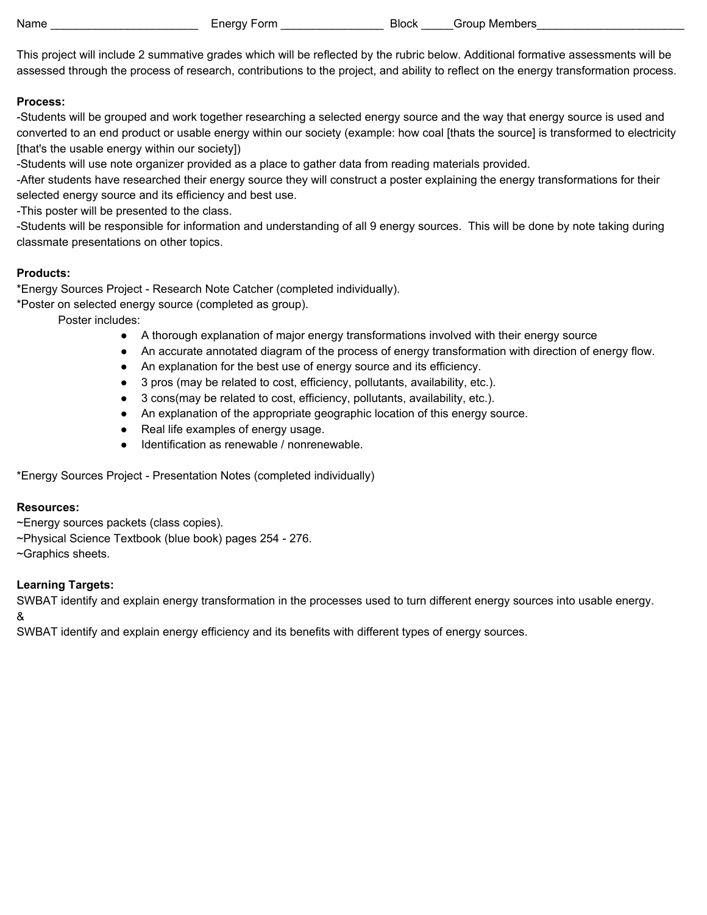This project will include 2 summative grades which will be reflected by the rubric below. Additional formative assessments will be

## **Process:**

-Students will be grouped and work together researching a selected energy source and the way that energy source is used and converted to an end product or usable energy within our society (example: how coal [thats the source] is transformed to electricity [that's the usable energy within our society])

assessed through the process of research, contributions to the project, and ability to reflect on the energy transformation process.

-Students will use note organizer provided as a place to gather data from reading materials provided.

-After students have researched their energy source they will construct a poster explaining the energy transformations for their selected energy source and its efficiency and best use.

-This poster will be presented to the class.

-Students will be responsible for information and understanding of all 9 energy sources. This will be done by note taking during classmate presentations on other topics.

## **Products:**

\*Energy Sources Project - Research Note Catcher (completed individually).

\*Poster on selected energy source (completed as group).

Poster includes:

- A thorough explanation of major energy transformations involved with their energy source
- An accurate annotated diagram of the process of energy transformation with direction of energy flow.
- An explanation for the best use of energy source and its efficiency.
- 3 pros (may be related to cost, efficiency, pollutants, availability, etc.).
- 3 cons(may be related to cost, efficiency, pollutants, availability, etc.).
- An explanation of the appropriate geographic location of this energy source.
- Real life examples of energy usage.
- Identification as renewable / nonrenewable.

\*Energy Sources Project - Presentation Notes (completed individually)

## **Resources:**

- ~Energy sources packets (class copies).
- ~Physical Science Textbook (blue book) pages 254 276.

~Graphics sheets.

## **Learning Targets:**

SWBAT identify and explain energy transformation in the processes used to turn different energy sources into usable energy.

&

SWBAT identify and explain energy efficiency and its benefits with different types of energy sources.